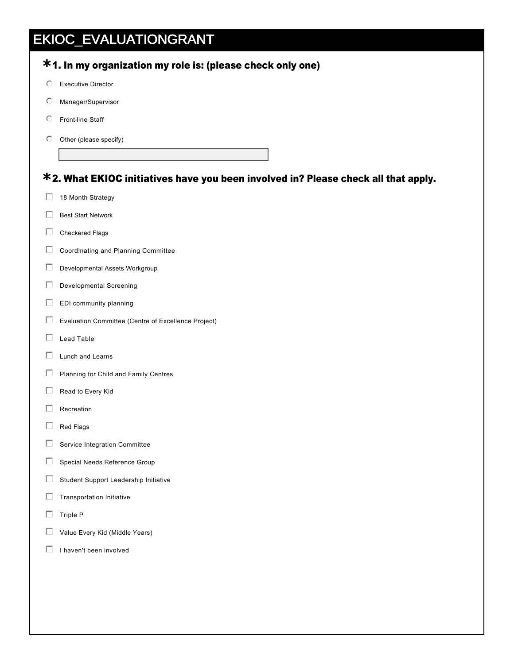## EKIOC\_EVALUATIONGRANT

| $\circ$ | <b>Executive Director</b>                                                          |
|---------|------------------------------------------------------------------------------------|
| O       | Manager/Supervisor                                                                 |
| O       | Front-line Staff                                                                   |
| $\circ$ | Other (please specify)                                                             |
|         |                                                                                    |
|         | *2. What EKIOC initiatives have you been involved in? Please check all that apply. |
| П       | 18 Month Strategy                                                                  |
| П       | <b>Best Start Network</b>                                                          |
| П       | Checkered Flags                                                                    |
| П       | Coordinating and Planning Committee                                                |
| П       | Developmental Assets Workgroup                                                     |
| Е       | <b>Developmental Screening</b>                                                     |
| Е       | EDI community planning                                                             |
| П       | Evaluation Committee (Centre of Excellence Project)                                |
| г       | Lead Table                                                                         |
| П       | Lunch and Learns                                                                   |
| Е       | Planning for Child and Family Centres                                              |
| Е       | Read to Every Kid                                                                  |
|         | Recreation                                                                         |
| П       | Red Flags                                                                          |
| Е       | Service Integration Committee                                                      |
| Г       | Special Needs Reference Group                                                      |
| Г       | Student Support Leadership Initiative                                              |
| Г       | Transportation Initiative                                                          |
| Г       | Triple P                                                                           |
| Е       | Value Every Kid (Middle Years)                                                     |
| □       | I haven't been involved                                                            |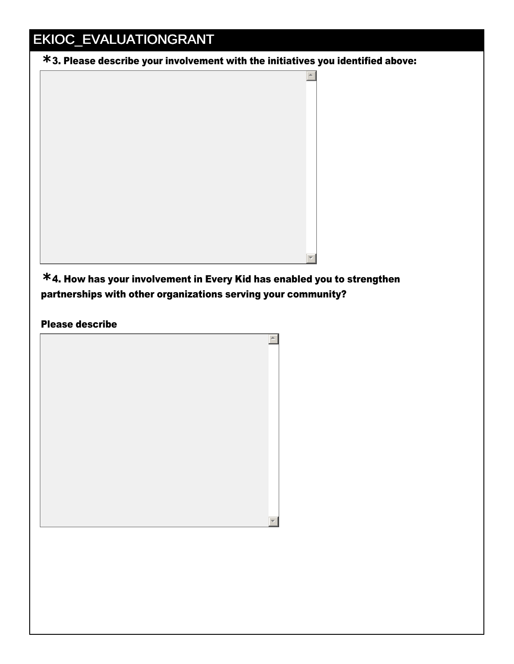## EKIOC\_EVALUATIONGRANT

3. Please describe your involvement with the initiatives you identified above: **\***



4. How has your involvement in Every Kid has enabled you to strengthen **\*** partnerships with other organizations serving your community?

## Please describe